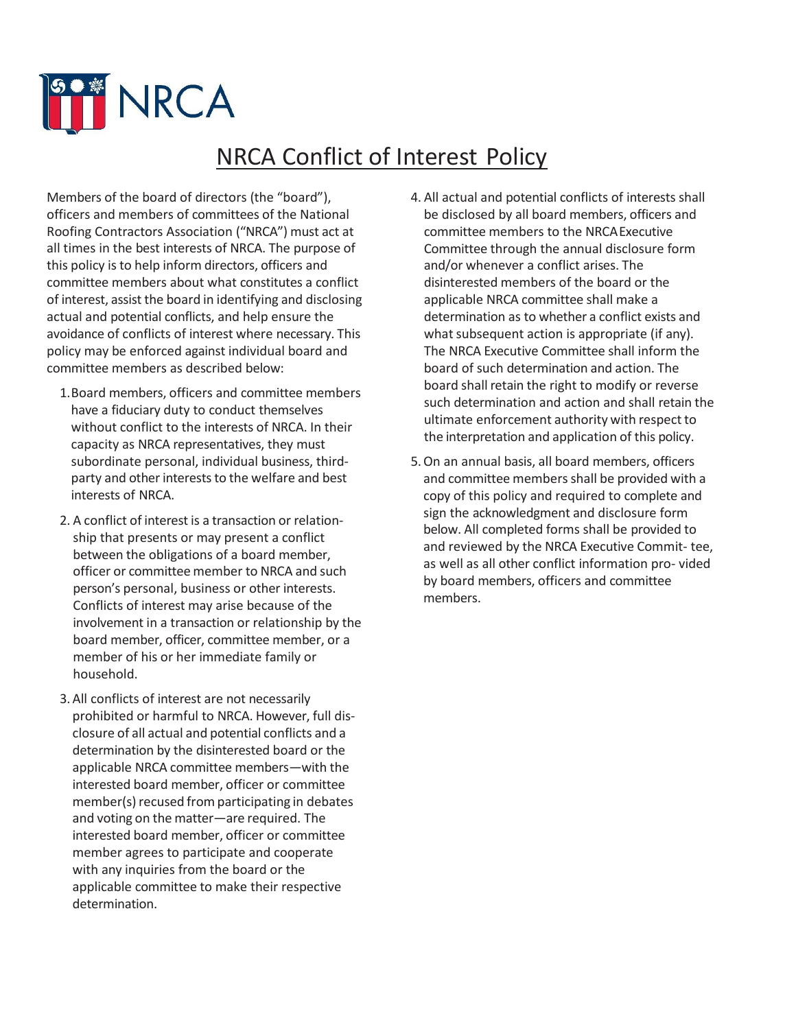

## NRCA Conflict of Interest Policy

Members of the board of directors (the "board"), officers and members of committees of the National Roofing Contractors Association ("NRCA") must act at all times in the best interests of NRCA. The purpose of this policy is to help inform directors, officers and committee members about what constitutes a conflict of interest, assist the board in identifying and disclosing actual and potential conflicts, and help ensure the avoidance of conflicts of interest where necessary. This policy may be enforced against individual board and committee members as described below:

- 1.Board members, officers and committee members have a fiduciary duty to conduct themselves without conflict to the interests of NRCA. In their capacity as NRCA representatives, they must subordinate personal, individual business, thirdparty and other interests to the welfare and best interests of NRCA.
- 2. A conflict of interest is a transaction or relationship that presents or may present a conflict between the obligations of a board member, officer or committee member to NRCA and such person's personal, business or other interests. Conflicts of interest may arise because of the involvement in a transaction or relationship by the board member, officer, committee member, or a member of his or her immediate family or household.
- 3.All conflicts of interest are not necessarily prohibited or harmful to NRCA. However, full disclosure of all actual and potential conflicts and a determination by the disinterested board or the applicable NRCA committee members—with the interested board member, officer or committee member(s) recused from participating in debates and voting on the matter—are required. The interested board member, officer or committee member agrees to participate and cooperate with any inquiries from the board or the applicable committee to make their respective determination.
- 4. All actual and potential conflicts of interests shall be disclosed by all board members, officers and committee members to the NRCAExecutive Committee through the annual disclosure form and/or whenever a conflict arises. The disinterested members of the board or the applicable NRCA committee shall make a determination as to whether a conflict exists and what subsequent action is appropriate (if any). The NRCA Executive Committee shall inform the board of such determination and action. The board shall retain the right to modify or reverse such determination and action and shall retain the ultimate enforcement authority with respect to the interpretation and application of this policy.
- 5.On an annual basis, all board members, officers and committee members shall be provided with a copy of this policy and required to complete and sign the acknowledgment and disclosure form below. All completed forms shall be provided to and reviewed by the NRCA Executive Commit- tee, as well as all other conflict information pro- vided by board members, officers and committee members.